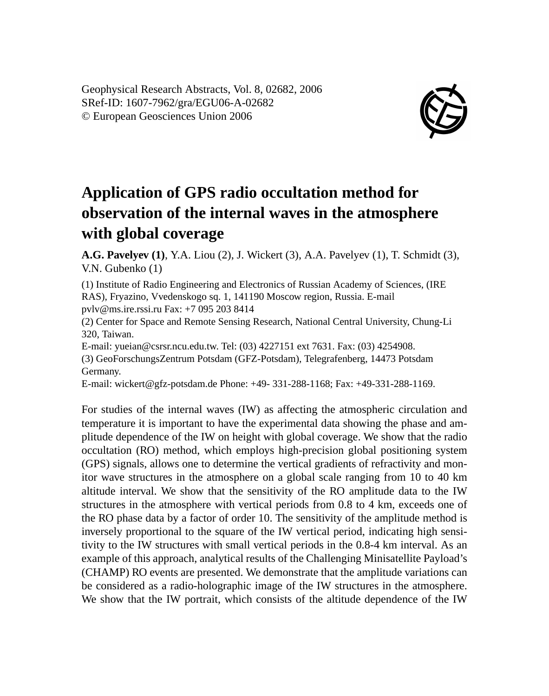Geophysical Research Abstracts, Vol. 8, 02682, 2006 SRef-ID: 1607-7962/gra/EGU06-A-02682 © European Geosciences Union 2006



## **Application of GPS radio occultation method for observation of the internal waves in the atmosphere with global coverage**

**A.G. Pavelyev (1)**, Y.A. Liou (2), J. Wickert (3), A.A. Pavelyev (1), T. Schmidt (3), V.N. Gubenko (1)

(1) Institute of Radio Engineering and Electronics of Russian Academy of Sciences, (IRE RAS), Fryazino, Vvedenskogo sq. 1, 141190 Moscow region, Russia. E-mail pvlv@ms.ire.rssi.ru Fax: +7 095 203 8414

(2) Center for Space and Remote Sensing Research, National Central University, Chung-Li 320, Taiwan.

E-mail: yueian@csrsr.ncu.edu.tw. Tel: (03) 4227151 ext 7631. Fax: (03) 4254908. (3) GeoForschungsZentrum Potsdam (GFZ-Potsdam), Telegrafenberg, 14473 Potsdam Germany.

E-mail: wickert@gfz-potsdam.de Phone: +49- 331-288-1168; Fax: +49-331-288-1169.

For studies of the internal waves (IW) as affecting the atmospheric circulation and temperature it is important to have the experimental data showing the phase and amplitude dependence of the IW on height with global coverage. We show that the radio occultation (RO) method, which employs high-precision global positioning system (GPS) signals, allows one to determine the vertical gradients of refractivity and monitor wave structures in the atmosphere on a global scale ranging from 10 to 40 km altitude interval. We show that the sensitivity of the RO amplitude data to the IW structures in the atmosphere with vertical periods from 0.8 to 4 km, exceeds one of the RO phase data by a factor of order 10. The sensitivity of the amplitude method is inversely proportional to the square of the IW vertical period, indicating high sensitivity to the IW structures with small vertical periods in the 0.8-4 km interval. As an example of this approach, analytical results of the Challenging Minisatellite Payload's (CHAMP) RO events are presented. We demonstrate that the amplitude variations can be considered as a radio-holographic image of the IW structures in the atmosphere. We show that the IW portrait, which consists of the altitude dependence of the IW